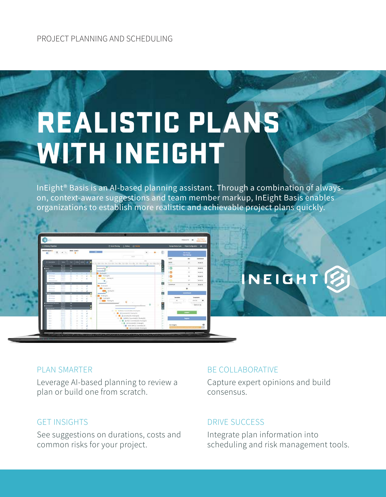# REALISTIC PLANS WITH INEIGHT

InEight® Basis is an AI-based planning assistant. Through a combination of alwayson, context-aware suggestions and team member markup, InEight Basis enables organizations to establish more realistic and achievable project plans quickly.



## INEIGHT<sup>2</sup>

### PLAN SMARTER

Leverage AI-based planning to review a plan or build one from scratch.

### GET INSIGHTS

See suggestions on durations, costs and common risks for your project.

### BE COLLABORATIVE

Capture expert opinions and build consensus.

### DRIVE SUCCESS

Integrate plan information into scheduling and risk management tools.